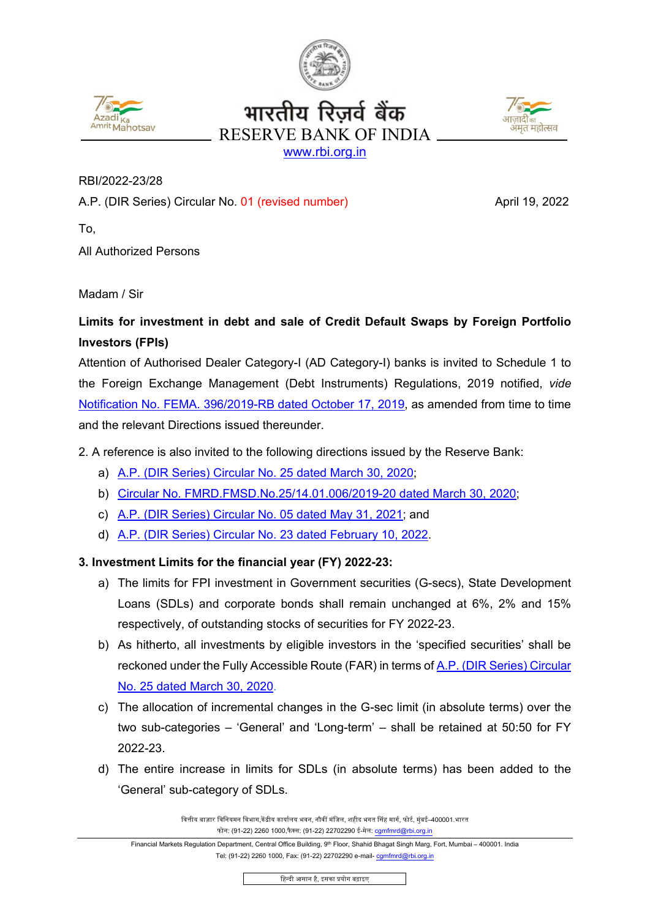





RBI/2022-23/28

A.P. (DIR Series) Circular No. 01 (revised number) April 19, 2022

To,

All Authorized Persons

Madam / Sir

## **Limits for investment in debt and sale of Credit Default Swaps by Foreign Portfolio Investors (FPIs)**

Attention of Authorised Dealer Category-I (AD Category-I) banks is invited to Schedule 1 to the Foreign Exchange Management (Debt Instruments) Regulations, 2019 notified, *vide*  [Notification No. FEMA. 396/2019-RB dated October 17, 2019,](https://www.rbi.org.in/Scripts/NotificationUser.aspx?Id=12099&Mode=0) as amended from time to time and the relevant Directions issued thereunder.

2. A reference is also invited to the following directions issued by the Reserve Bank:

- a) [A.P. \(DIR Series\) Circular No. 25 dated March 30, 2020;](https://www.rbi.org.in/Scripts/NotificationUser.aspx?Id=11849&Mode=0)
- b) [Circular No. FMRD.FMSD.No.25/14.01.006/2019-20 dated March 30, 2020;](https://www.rbi.org.in/Scripts/NotificationUser.aspx?Id=11850&Mode=0)
- c) A.P. [\(DIR Series\) Circular No.](https://www.rbi.org.in/Scripts/NotificationUser.aspx?Id=12102&Mode=0) 05 dated May 31, 2021; and
- d) [A.P. \(DIR Series\) Circular No. 23](https://www.rbi.org.in/Scripts/NotificationUser.aspx?Id=12227&Mode=0) dated February 10, 2022.

## **3. Investment Limits for the financial year (FY) 2022-23:**

- a) The limits for FPI investment in Government securities (G-secs), State Development Loans (SDLs) and corporate bonds shall remain unchanged at 6%, 2% and 15% respectively, of outstanding stocks of securities for FY 2022-23.
- b) As hitherto, all investments by eligible investors in the 'specified securities' shall be reckoned under the Fully Accessible Route (FAR) in terms of [A.P. \(DIR Series\) Circular](https://www.rbi.org.in/Scripts/NotificationUser.aspx?Id=11849&Mode=0)  [No. 25 dated March 30, 2020.](https://www.rbi.org.in/Scripts/NotificationUser.aspx?Id=11849&Mode=0)
- c) The allocation of incremental changes in the G-sec limit (in absolute terms) over the two sub-categories – 'General' and 'Long-term' – shall be retained at 50:50 for FY 2022-23.
- d) The entire increase in limits for SDLs (in absolute terms) has been added to the 'General' sub-category of SDLs.

वित्तीय बाज़ार विनियमन विभाग,केंद्रीय कार्यालय भवन, नौवीं मंजिल, शहीद भगत सिंह मार्ग, फोर्ट, मुंबई–400001.भारत फोन: (91-22) 2260 1000,फैक्स: (91-22) 22702290 ई-मेल: [cgmfmrd@rbi.org.in](mailto:cgmfmrd@rbi.org.in)

िहन्दी आसान है, इसका �योग बढ़ाइए